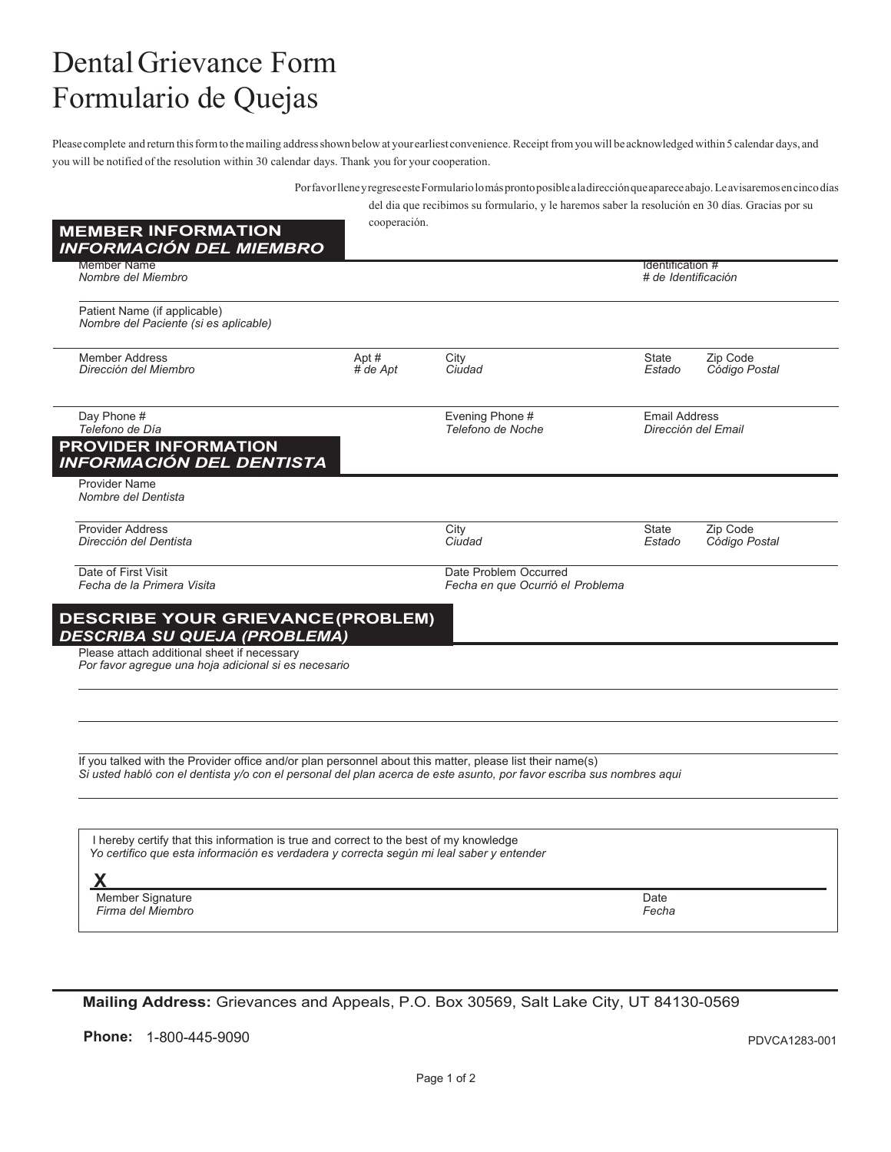## DentalGrievance Form Formulario de Quejas

Please complete and return this form to the mailing address shown below at your earliest convenience. Receipt fromyou will be acknowledged within 5 calendar days, and you will be notified of the resolution within 30 calendar days. Thank you for your cooperation.

| Por favor llene y regrese este Formulario lo más pronto posible a la dirección que aparece abajo. Le avisaremos en cinco días<br>del dia que recibimos su formulario, y le haremos saber la resolución en 30 días. Gracias por su |                                                           |                                                                                                                                                                                                                                                |                                                                                                                                                                                                                                    |  |
|-----------------------------------------------------------------------------------------------------------------------------------------------------------------------------------------------------------------------------------|-----------------------------------------------------------|------------------------------------------------------------------------------------------------------------------------------------------------------------------------------------------------------------------------------------------------|------------------------------------------------------------------------------------------------------------------------------------------------------------------------------------------------------------------------------------|--|
|                                                                                                                                                                                                                                   |                                                           |                                                                                                                                                                                                                                                |                                                                                                                                                                                                                                    |  |
|                                                                                                                                                                                                                                   |                                                           |                                                                                                                                                                                                                                                | Identification #<br># de Identificación                                                                                                                                                                                            |  |
|                                                                                                                                                                                                                                   |                                                           |                                                                                                                                                                                                                                                |                                                                                                                                                                                                                                    |  |
| Apt#<br>$#$ de Apt                                                                                                                                                                                                                | City<br>Ciudad                                            | State<br>Estado                                                                                                                                                                                                                                | Zip Code<br>Código Postal                                                                                                                                                                                                          |  |
|                                                                                                                                                                                                                                   | Evening Phone #<br>Telefono de Noche                      | <b>Email Address</b><br>Dirección del Email                                                                                                                                                                                                    |                                                                                                                                                                                                                                    |  |
|                                                                                                                                                                                                                                   |                                                           |                                                                                                                                                                                                                                                |                                                                                                                                                                                                                                    |  |
|                                                                                                                                                                                                                                   | City<br>Ciudad                                            | State<br>Estado                                                                                                                                                                                                                                | Zip Code<br>Código Postal                                                                                                                                                                                                          |  |
|                                                                                                                                                                                                                                   | Date Problem Occurred<br>Fecha en que Ocurrió el Problema |                                                                                                                                                                                                                                                |                                                                                                                                                                                                                                    |  |
|                                                                                                                                                                                                                                   |                                                           |                                                                                                                                                                                                                                                |                                                                                                                                                                                                                                    |  |
| Por favor agregue una hoja adicional si es necesario                                                                                                                                                                              |                                                           |                                                                                                                                                                                                                                                |                                                                                                                                                                                                                                    |  |
|                                                                                                                                                                                                                                   |                                                           |                                                                                                                                                                                                                                                |                                                                                                                                                                                                                                    |  |
|                                                                                                                                                                                                                                   |                                                           |                                                                                                                                                                                                                                                |                                                                                                                                                                                                                                    |  |
|                                                                                                                                                                                                                                   |                                                           |                                                                                                                                                                                                                                                |                                                                                                                                                                                                                                    |  |
|                                                                                                                                                                                                                                   |                                                           |                                                                                                                                                                                                                                                |                                                                                                                                                                                                                                    |  |
|                                                                                                                                                                                                                                   |                                                           |                                                                                                                                                                                                                                                |                                                                                                                                                                                                                                    |  |
|                                                                                                                                                                                                                                   |                                                           | Date<br>Fecha                                                                                                                                                                                                                                  |                                                                                                                                                                                                                                    |  |
|                                                                                                                                                                                                                                   | <b>DESCRIBA SU QUEJA (PROBLEMA)</b>                       | cooperación.<br><b>DESCRIBE YOUR GRIEVANCE (PROBLEM)</b><br>I hereby certify that this information is true and correct to the best of my knowledge<br>Yo certifico que esta información es verdadera y correcta según mi leal saber y entender | If you talked with the Provider office and/or plan personnel about this matter, please list their name(s)<br>Si usted habló con el dentista y/o con el personal del plan acerca de este asunto, por favor escriba sus nombres aqui |  |

**Mailing Address:** Grievances and Appeals, P.O. Box 30569, Salt Lake City, UT 84130-0569

**Phone:** 1-800-445-9090 **Phone:** 1-800-445-9090